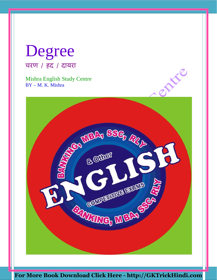# Degree चरण / हद / दायरा

Mishra English Study Centre BY – M. K. Mishra

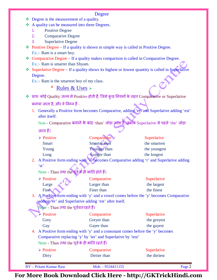### Degree

- ❖ Degree is the measurement of a quality.
- $\triangle$  A quality can be measured into three Degrees.
	- 1. Positive Degree
	- 2. Comparative Degree
	- 3. Superlative Degree
- $\bullet$  Positive Degree If a quality is shown in simple way is called in Positive Degree. Ex.:- Ram is a smart boy.
- $\triangleleft$  Comparative Degree If a quality makes comparison is called in Comparative Degree. Ex.:- Ram is smarter than Shyam.
- Superlative Degree If a quality shows its highest or lowest quantity is called in Superlative Degree.

Ex.:- Ram is the smartest boy of my class.

\* Rules & Uses

- ◆ प्रायः कोई Quality जन्म से Positive होती हैं, जिसे कुछ नियमों के तहत Comparative or Superlative बनाया जाता है, और वे निम्न हैं -
	- 1. Generally a Positive form becomes Comparative, adding 'er' and Superlative adding 'est' after itself.

Note - Comparative बनाने के बाद 'than' जोड़ा जाता है, जबकि Superlative से पहले 'the' जोड़ा

जाता हैं।

| Comparative  | Superlative  |  |
|--------------|--------------|--|
| Smarter than | the smartest |  |
| Younger than | the youngest |  |
| Longer than  | the longest  |  |
|              |              |  |

2. A Positive form ending with 'e' becomes Comparative adding 'r' and Superlative adding 'st'

Note - Than तथा the पूर्व के ही भांति होते हैं।

| $\triangleright$ Positive | Comparative | Superlative |
|---------------------------|-------------|-------------|
| Large<br>- 67             | Larger than | the largest |
| Fine A                    | Finer than  | the finest  |

3. A Positive form ending with 'y' and a vowel comes before the 'y' becomes Comparative adding 'er' and Superlative adding 'est' after itself.

Note - Than तथा the पूर्ववत रहते हैं।

| $\triangleright$ Positive | Comparative | Superlative |
|---------------------------|-------------|-------------|
| Grey                      | Grever than | the greyest |
| Gay                       | Gayer than  | the gayest  |

4. A Positive form ending with 'y' and a consonant comes before the 'y' becomes Comparative replacing 'y' by 'ier' and Superlative by 'iest' Note - Than तथा the पूर्व के ही भांति रहते हैं।

| $\mathbf{A}$ and $\mathbf{A}$ and $\mathbf{A}$ and $\mathbf{A}$ and $\mathbf{A}$ are $\mathbf{A}$ and $\mathbf{A}$ and $\mathbf{A}$ |                   |              |        |
|-------------------------------------------------------------------------------------------------------------------------------------|-------------------|--------------|--------|
| $\triangleright$ Positive                                                                                                           | Comparative       | Superlative  |        |
| Dirty                                                                                                                               | Dirtier than      | the dirtiest |        |
| BY – Pritam Kumar Raw                                                                                                               | Mob. - 9534411155 |              | Page 2 |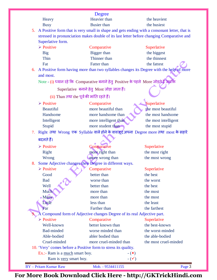|                                         | <b>Degree</b>                                                                                |                               |
|-----------------------------------------|----------------------------------------------------------------------------------------------|-------------------------------|
| Heavy                                   | Heavier than                                                                                 | the heaviest                  |
| <b>Busy</b>                             | <b>Busier</b> than                                                                           | the busiest                   |
| 5.                                      | A Positive form that is very small in shape and gets ending with a consonant letter, that is |                               |
|                                         | stressed in pronunciation makes double of its last letter before changing Comparative and    |                               |
| Superlative form.                       |                                                                                              |                               |
| $\triangleright$ Positive               | Comparative                                                                                  | Superlative                   |
| <b>Big</b>                              | Bigger than                                                                                  | the biggest                   |
| Thin                                    | Thinner than                                                                                 | the thinnest                  |
| Fat                                     | Fatter than                                                                                  | the fattest                   |
| 6.                                      | A Positive form having more than two syllables changes its Degree with the help of more      |                               |
| and most.                               |                                                                                              |                               |
|                                         | Note - (i) ध्यान रहे कि Comparative बनाने हेतु Positive के पहले More जोड़ते हैं जबकि         |                               |
|                                         | Superlative बनाने हेतु Most जोड़ा जाता हैं।                                                  |                               |
|                                         | (ii) Than तथा the पूर्व की भांति रहते हैं।                                                   |                               |
| $\triangleright$ Positive               | Comparative                                                                                  | Superlative                   |
| <b>Beautiful</b>                        | more beautiful than                                                                          | the most beautiful            |
| Handsome                                | more handsome than                                                                           | the most handsome             |
| Intelligent                             | more intelligent than                                                                        | the most intelligent          |
| Stupid                                  | more student than                                                                            | the most stupid               |
| 7.                                      | Right तथा Wrong एक Syllable वाले होने के वावजूद अपना Degree more तथा most के सहारे           |                               |
|                                         |                                                                                              |                               |
| बदलते हैं।                              |                                                                                              |                               |
| $\triangleright$ Positive               | Comparative                                                                                  | Superlative                   |
| <b>Right</b>                            | more right than                                                                              | the most right                |
| <b>Wrong</b>                            | more wrong than                                                                              | the most wrong                |
| 8.                                      | Some Adjective changes their Degree in different ways.                                       |                               |
| $\triangleright$ Positive               | Comparative                                                                                  | Superlative                   |
| Good                                    | better than                                                                                  | the best                      |
| <b>Bad</b>                              | worse than                                                                                   | the worst                     |
| Well                                    | better than                                                                                  | the best                      |
| Much                                    | more than                                                                                    | the most                      |
| . Many                                  | more than                                                                                    | the most                      |
| Little                                  | less than                                                                                    | the least                     |
| Far                                     | Farther than                                                                                 | the farthest                  |
|                                         | Compound form of Adjective changes Degree of its real Adjective part.                        |                               |
| $\triangleright$ Positive<br>Well-known | Comparative<br>better known than                                                             | Superlative<br>the best-known |
| <b>Bad-minded</b>                       | worse minded than                                                                            | the worst-minded              |
| Able-bodied                             | abler bodied than                                                                            | the able-bodied               |
| Cruel-minded                            | more cruel-minded than                                                                       | the most cruel-minded         |
|                                         | 10. 'Very' comes before a Positive form to stress its quality.                               |                               |
|                                         | Ex.:- Ram is a much smart boy.<br>$ (\star)$                                                 |                               |
|                                         | Ram is very smart boy.<br>$ (\checkmark)$                                                    |                               |
|                                         |                                                                                              |                               |
| <b>BY</b> - Pritam Kumar Raw            | Mob. - 9534411155                                                                            | Page 3                        |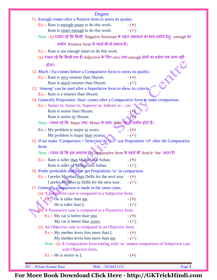### Degree

| Degiee                                                                                                     |
|------------------------------------------------------------------------------------------------------------|
| 11. Enough comes after a Positive form to stress its quality.                                              |
| Ex.:- Ram is enough smart to do this work.<br>$ (\star)$                                                   |
| Ram is smart enough to do this work.<br>$ (\checkmark)$                                                    |
| Note - (i) ध्यान रहे कि किसी Negative Structure के तहत अक्षमता का भाव दर्शाने हेतुः enough का              |
| प्रयोग Positive form के पहले भी हो सकता हैं।                                                               |
| Ex.:- Ram is not enough smart to do this work.                                                             |
| (ii) ध्यान रहे कि किसी एक ही Adjective के लिए very तथा enough दोनों का प्रयोग एक साथ नहीं                  |
| होता।                                                                                                      |
| ERE<br>12. Much / Far comes before a Comparative form to stress its quality.                               |
| Ex.:- Ram is very smarter than Shyam.<br>$ (x)$                                                            |
| $ (\checkmark)$<br>Ram is much smarter than Shyam.                                                         |
| 13. 'Among' can be used after a Superlative form to show its criteria.                                     |
| Ex.:- Ram is a smarter than Shyam.                                                                         |
| 14. Generally Preposition 'than' comes after a Comparative form to make comparison.                        |
| Ex.:- Senior to, Junior to, Superior to, Inferior to  etc                                                  |
| Ram is senior than Shyam.                                                                                  |
| Ram is senior to Shyam.                                                                                    |
| Note - ध्यान रहे कि Major तथा Minor के साथ 'than' का ही प्रयोग होता हैं।                                   |
| Ex.:- My problem is major to yours.<br>$ (x)$                                                              |
| $ (\checkmark)$<br>My problem is major than yours.                                                         |
| 15. If we make 'Comparison + Selection' in "1.2" use Preposition 'of' after the Comparative                |
| form.                                                                                                      |
| Note - ध्यान रहे कि इस अवस्था में Comparative form के पहले भी Article 'the' आता हैं।                       |
| Ex.:- Ram is taller than Mohan and Sohan.<br>$ (\star)$                                                    |
| Ram is taller of Mohan and Sohan.<br>$ (\checkmark)$                                                       |
| 16. Prefer preferable and elder get Preposition 'to' in comparison.                                        |
| Ex.:- I prefer Mumbai than Delhi for the next tour.<br>$-(\mathbf{x})$                                     |
| I prefer Mumbai to Delhi for the next tour.<br>$ (\checkmark)$                                             |
| 17. Generally comparison is made in the same cases.                                                        |
| (a) A Subjective case is compared to a Subjective form.                                                    |
| $\overrightarrow{Ex}$ : $\overrightarrow{e}$ He is taller than me.<br>$ (\star)$                           |
| He is taller than I.<br>$ (\checkmark)$                                                                    |
| (b) A Possessive case is compared to a Possessive form.                                                    |
| Ex.:- My car is better than you.<br>$ (\star)$                                                             |
| My car is better than yours.<br>$ (\checkmark)$                                                            |
| (c) An Objective case is compared to an Objective form.                                                    |
| Ex.:- My mother loves him more than $\underline{I}$ .<br>$ (x)$                                            |
| My mother loves him more than me.<br>$ (\checkmark)$                                                       |
| Note - (i) A Comparative form ending with 'or' makes comparison of Subjective case<br>with Objective form. |
| Ex.:- He is senior to $\underline{\mathrm{I}}$ .<br>$ (\star)$                                             |
|                                                                                                            |

BY – Pritam Kumar Raw Mob. - 9534411155 Page 4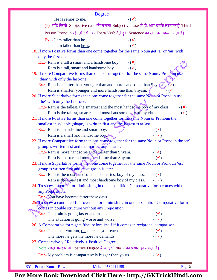| <b>Degree</b>                                                                                                                           |                 |
|-----------------------------------------------------------------------------------------------------------------------------------------|-----------------|
| $ (\checkmark)$<br>He is senior to me.                                                                                                  |                 |
| (ii) यदि किसी Subjective case की तुलना Subjective case से हो, और उसके तुल्य कोई Third                                                   |                 |
| Person Pronoun रहे, तो उसे एक Extra Verb देते हुए Sentence का समापन किया जाता हैं।                                                      |                 |
| Ex.:- I am taller than he.<br>$ (x)$                                                                                                    |                 |
| $-(\checkmark)$<br>I am taller than he is.                                                                                              |                 |
| 18. If more Positive forms than one come together for the same Noun get 'a' or 'an' with                                                |                 |
| only the first-one.                                                                                                                     |                 |
| Ex.:- Ram is a tall a smart and a handsome boy.<br>$-(\mathbf{x})$                                                                      |                 |
| $ (\checkmark)$<br>Ram is a tall, smart and handsome boy.                                                                               |                 |
| 19. If more Comparative forms than one come together for the same Noun / Pronoun use                                                    |                 |
| 'than' with only the last-one.                                                                                                          |                 |
| Ex.:- Ram is smarter than, younger than and more handsome than Shyam. $\mathcal{F}(x)$                                                  |                 |
| Ram is smarter, younger and more handsome than Shyam.                                                                                   | $ (\checkmark)$ |
| 20. If more Superlative forms than one come together for the same Noun or Pronoun use                                                   |                 |
| 'the' with only the first-one.                                                                                                          |                 |
| Ex.:- Ram is the tallest, the smartest and the most handsome boy of my class.                                                           | $ (\star)$      |
| Ram is the tallest, smartest and most handsome boy of my class.                                                                         | $ (\checkmark)$ |
| 21. If more Positive forms than one come together for the same Noun or Pronoun the                                                      |                 |
| smallest in syllable (shape) is written first and the largest is at last.                                                               |                 |
| Ex.:- Ram is a handsome and smart boy.                                                                                                  | $ (x)$          |
| Ram is a smart and handsome boy.                                                                                                        | $ (\checkmark)$ |
| 22. If more Comparative form than one come together for the same Noun or Pronoun the 'er'                                               |                 |
| group is written first and the more group is later.                                                                                     |                 |
| Ex.:- Ram is more handsome and smarter than Shyam.                                                                                      | $-(x)$          |
| Ram is smarter and more handsome than Shyam.<br>23. If more Superlative forms than one come together for the same Noun or Pronoun 'est' | $ (\checkmark)$ |
| group is written first and most group is later.                                                                                         |                 |
| Ex.:- Ram is the most handsome and smartest boy of my class.                                                                            | $-(x)$          |
| Ram is the smartest and most handsome boy of my class.                                                                                  | $ (\checkmark)$ |
| 24. To show Important or diminishing in one's condition Comparative form comes without                                                  |                 |
| any Preposition.                                                                                                                        |                 |
| Ex.:-You have become fatter these days.                                                                                                 |                 |
| 25. To show a continued Improvement or diminishing in one's condition Comparative form                                                  |                 |
| comes in double structure without any Preposition.                                                                                      |                 |
| Ex.:- The train is going faster and faster.                                                                                             | $ (\checkmark)$ |
| The situation is going worse and worse.                                                                                                 | $ (\checkmark)$ |
| 26. A Comparative form gets 'the' before itself if it comes in reciprocal comparison.                                                   |                 |
| Ex.:- The faster you run, the quicker you reach.                                                                                        | $ (\checkmark)$ |
| The more he gets the more he demands.                                                                                                   | $ (\checkmark)$ |
| 27. Comparatively / Relatively + Positive Degree                                                                                        |                 |
| Note - इस अवस्था में Positive Degree के बाद भी 'than' का प्रयोग हो सकता हैं।                                                            |                 |
| Ex.:- My problem is comparatively bigger than yours.                                                                                    | $ (\star)$      |
| <b>BY</b> - Pritam Kumar Raw<br>Mob. - 9534411155                                                                                       | Page 5          |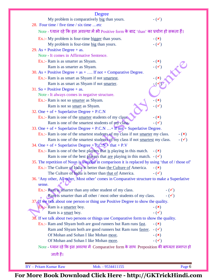| Degree                                                                                                |                 |
|-------------------------------------------------------------------------------------------------------|-----------------|
| My problem is comparatively big than yours.<br>28. Four time / five time / six time etc               | $ (\checkmark)$ |
| Note - ध्यान रहे कि इस अवस्था में भी Positive form के बाद 'than' का प्रयोग हो सकता हैं।               |                 |
| Ex.:- My problem is four-time bigger than yours.                                                      | $ (\star)$      |
| My problem is four-time big than yours.                                                               | $-(\checkmark)$ |
| 29. As + Positive Degree + as.                                                                        |                 |
| Note - It comes in Affirmative Sentence.                                                              |                 |
| Ex.:- Ram is as smarter as Shyam.                                                                     | - $(\bm{x})$    |
| Ram is as smarter as Shyam.                                                                           |                 |
| 30. As + Positive Degree + as +  If not + Comparative Degree.                                         |                 |
| Ex.:- Ram is as smart as Shyam if not smartest.                                                       |                 |
| Ram is as smart as Shyam if not smarter.                                                              |                 |
| 31. So + Positive Degree + as.                                                                        |                 |
| Note - It always comes in negative structure.                                                         |                 |
| Ex.:- Ram is not so smarter as Shyam.                                                                 | $ (\star)$      |
| Ram is not so smart as Shyam.                                                                         | $ (\checkmark)$ |
| 32. One + of + Superlative Degree + P.C.N                                                             |                 |
| Ex.:- Ram is one of the smarter students of my class.                                                 | $ (x)$          |
| Ram is one of the smartest students of my class.                                                      | $ (\checkmark)$ |
| 33. One + of + Superlative Degree + P.C.N  + if not + Superlative Degree.                             |                 |
| Ex.:- Ram is one of the smartest students of my class if not smarter my class.                        | $ (\star)$      |
| Ram is one of the smartest students of my class if not smartest my class.                             | $-(\checkmark)$ |
| 34. One + of + Superlative Degree + $P_cC.N$ + that + $P.V$                                           |                 |
| Ex.:- Ram is one of the best players that is playing in this match.                                   | $-(\mathbf{x})$ |
| Ram is one of the best players that are playing in this match. $-(\checkmark)$                        |                 |
| 35. The repetition of Noun is avoided in comparison it is replaced by using 'that of / those of'      |                 |
| Ex.:- The Culture of India is better than the Culture of America.                                     | $ (\star)$      |
| The Culture of India is better than that of America.                                                  | $ (\checkmark)$ |
| 36. 'Any other, All other, Most other' comes in Comparative structure to make a Superlative<br>sense. |                 |
| Ex.:- Ram is smarter than any other student of my class.                                              | $ (\checkmark)$ |
| Ram is smarter than all other / most other students of my class.                                      | $ (\checkmark)$ |
| 37. If we talk about one person or thing use Positive Degree to show the quality.                     |                 |
| Ex: Ram is a smarter boy.                                                                             | $ (\star)$      |
| Ram is a smart boy.                                                                                   | $ (\checkmark)$ |
| 38. If we talk about two persons or things use Comparative form to show the quality.                  |                 |
| Ex.:- Ram and Shyam both are good runners but Ram runs fast.                                          | $ (\times)$     |
| Ram and Shyam both are good runners but Ram runs faster.                                              | $ (\checkmark)$ |
| Of Mohan and Sohan I like Mohan most.                                                                 | $ (x)$          |
| Of Mohan and Sohan I like Mohan more.                                                                 | $ (\checkmark)$ |
| Note - ध्यान रहे कि इस अवस्था में Comparative form के साथ Preposition की बाध्यता समाप्त हो            |                 |
| जाती हैं।                                                                                             |                 |
|                                                                                                       |                 |
| <b>BY</b> - Pritam Kumar Raw<br>Mob. - 9534411155                                                     | Page 6          |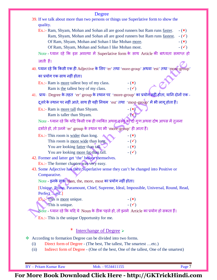|                                                                                          | Degree                                                                                            |                 |
|------------------------------------------------------------------------------------------|---------------------------------------------------------------------------------------------------|-----------------|
|                                                                                          | 39. If we talk about more than two persons or things use Superlative form to show the             |                 |
| quality.                                                                                 |                                                                                                   |                 |
|                                                                                          | Ex.:- Ram, Shyam, Mohan and Sohan all are good runners but Ram runs faster.                       | $ (\star)$      |
|                                                                                          | Ram, Shyam, Mohan and Sohan all are good runners but Ram runs fastest.                            | $ (\checkmark)$ |
|                                                                                          | Of Ram, Shyam, Mohan and Sohan I like Mohan more.                                                 | $ (x)$          |
|                                                                                          | Of Ram, Shyam, Mohan and Sohan I like Mohan most.                                                 | $ (\checkmark)$ |
|                                                                                          | Note - ध्यान रहे कि इस अवस्था में Superlative form के साथ Article की बाध्यता समाप्त हो            |                 |
| जाती हैं।                                                                                |                                                                                                   |                 |
|                                                                                          | 40. ध्यान रहे कि किसी एक ही Adjective के लिए 'er' तथा 'more-group' अथवा 'est' तथा 'most-group'    |                 |
| का प्रयोग एक साथ नहीं होता।                                                              |                                                                                                   |                 |
| Ex.:- Ram is <u>more</u> tallest boy of my class.<br>Ram is the tallest boy of my class. | $ (x)$<br>$-(\checkmark)$                                                                         |                 |
|                                                                                          | 41. प्रायः Degree के तहत 'er' group के स्थान पर 'more-group' का प्रयोग नहीं हौता, यानि दोनों एक - |                 |
|                                                                                          | दूसरे के स्थान पर नहीं आते, साथ ही यही नियम 'est' तथा 'most-group' में भी लागू होता हैं।          |                 |
| Ex.:- Ram is more tall than Shyam.                                                       | $ (\times)$                                                                                       |                 |
| Ram is taller than Shyam.                                                                |                                                                                                   |                 |
|                                                                                          | Note - ध्यान रहे कि यदि किसी एक ही व्यक्ति अथवा वस्तु को दो गुणअथवा दोष आपस में तुलना             |                 |
|                                                                                          | दर्शाते हो, तो उनमे 'er' group के स्थान पर भी 'more-group' ही आता हैं।                            |                 |
| Ex.:- This room is <u>wider</u> than long.                                               | $ (\star)$                                                                                        |                 |
| This room is more wide than long.                                                        | $ (\checkmark)$                                                                                   |                 |
| You are looking <u>fatter</u> than tall.                                                 | $ (\star)$                                                                                        |                 |
| You are looking more fat than tall.                                                      | $ (\checkmark)$                                                                                   |                 |
| 42. Former and latter get 'the' before themselves.                                       |                                                                                                   |                 |
| Ex.:- The former chapter was very easy.                                                  |                                                                                                   |                 |
| Comparative.                                                                             | 43. Some Adjective has their Superlative sense they can't be changed into Positive or             |                 |
|                                                                                          | Note - इनके साथ/than, the, more, most का प्रयोग नहीं होता।                                        |                 |
| Perfect . etc.]                                                                          | [Unique, Prime, Paramount, Chief, Supreme, Ideal, Impossible, Universal, Round, Read,             |                 |
| $Ex$ : This is more unique.                                                              | $ (\star)$                                                                                        |                 |
| This is unique.                                                                          | $ (\checkmark)$                                                                                   |                 |
|                                                                                          | Note - ध्यान रहे कि यदि ये  Noun के ठीक पहले हो, तो इनमे  Article का प्रयोग हो सकता हैं।          |                 |
| Ex.:- This is the unique Opportunity for me.                                             |                                                                                                   |                 |
|                                                                                          | Interchange of Degree                                                                             |                 |
| ❖                                                                                        | According to formation Degree can be divided into two forms.                                      |                 |
| (i)                                                                                      | Direct form of Degree - (The best, The tallest, The smartest etc.)                                |                 |
| (ii)                                                                                     | Indirect form of Degree - (One of the best, One of the tallest, One of the smartest)              |                 |
|                                                                                          |                                                                                                   |                 |
|                                                                                          |                                                                                                   |                 |
| <b>BY</b> - Pritam Kumar Raw                                                             | Mob. - 9534411155                                                                                 | Page 7          |